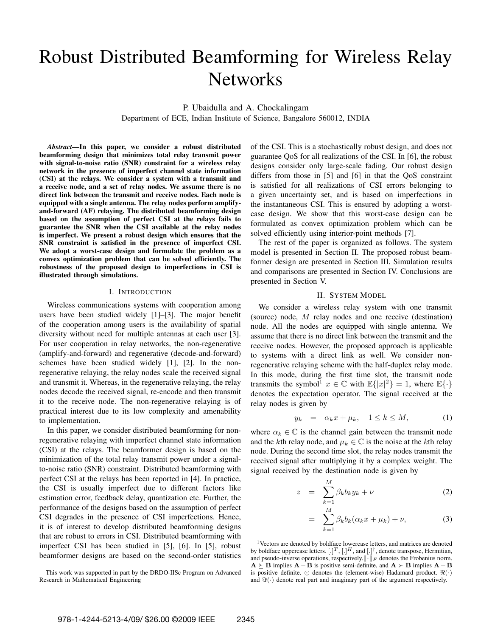# Robust Distributed Beamforming for Wireless Relay **Networks**

P. Ubaidulla and A. Chockalingam

Department of ECE, Indian Institute of Science, Bangalore 560012, INDIA

*Abstract***—In this paper, we consider a robust distributed beamforming design that minimizes total relay transmit power with signal-to-noise ratio (SNR) constraint for a wireless relay network in the presence of imperfect channel state information (CSI) at the relays. We consider a system with a transmit and a receive node, and a set of relay nodes. We assume there is no direct link between the transmit and receive nodes. Each node is equipped with a single antenna. The relay nodes perform amplifyand-forward (AF) relaying. The distributed beamforming design based on the assumption of perfect CSI at the relays fails to guarantee the SNR when the CSI available at the relay nodes is imperfect. We present a robust design which ensures that the SNR constraint is satisfied in the presence of imperfect CSI. We adopt a worst-case design and formulate the problem as a convex optimization problem that can be solved efficiently. The robustness of the proposed design to imperfections in CSI is illustrated through simulations.**

## I. INTRODUCTION

Wireless communications systems with cooperation among users have been studied widely [1]–[3]. The major benefit of the cooperation among users is the availability of spatial diversity without need for multiple antennas at each user [3]. For user cooperation in relay networks, the non-regenerative (amplify-and-forward) and regenerative (decode-and-forward) schemes have been studied widely [1], [2]. In the nonregenerative relaying, the relay nodes scale the received signal and transmit it. Whereas, in the regenerative relaying, the relay nodes decode the received signal, re-encode and then transmit it to the receive node. The non-regenerative relaying is of practical interest due to its low complexity and amenability to implementation.

In this paper, we consider distributed beamforming for nonregenerative relaying with imperfect channel state information (CSI) at the relays. The beamformer design is based on the minimization of the total relay transmit power under a signalto-noise ratio (SNR) constraint. Distributed beamforming with perfect CSI at the relays has been reported in [4]. In practice, the CSI is usually imperfect due to different factors like estimation error, feedback delay, quantization etc. Further, the performance of the designs based on the assumption of perfect CSI degrades in the presence of CSI imperfections. Hence, it is of interest to develop distributed beamforming designs that are robust to errors in CSI. Distributed beamforming with imperfect CSI has been studied in [5], [6]. In [5], robust beamformer designs are based on the second-order statistics

This work was supported in part by the DRDO-IISc Program on Advanced Research in Mathematical Engineering

of the CSI. This is a stochastically robust design, and does not guarantee QoS for all realizations of the CSI. In [6], the robust designs consider only large-scale fading. Our robust design differs from those in [5] and [6] in that the QoS constraint is satisfied for all realizations of CSI errors belonging to a given uncertainty set, and is based on imperfections in the instantaneous CSI. This is ensured by adopting a worstcase design. We show that this worst-case design can be formulated as convex optimization problem which can be solved efficiently using interior-point methods [7].

The rest of the paper is organized as follows. The system model is presented in Section II. The proposed robust beamformer design are presented in Section III. Simulation results and comparisons are presented in Section IV. Conclusions are presented in Section V.

## II. SYSTEM MODEL

We consider a wireless relay system with one transmit (source) node, M relay nodes and one receive (destination) node. All the nodes are equipped with single antenna. We assume that there is no direct link between the transmit and the receive nodes. However, the proposed approach is applicable to systems with a direct link as well. We consider nonregenerative relaying scheme with the half-duplex relay mode. In this mode, during the first time slot, the transmit node transmits the symbol<sup>1</sup>  $x \in \mathbb{C}$  with  $\mathbb{E}\{|x|^2\} = 1$ , where  $\mathbb{E}\{\cdot\}$ denotes the expectation operator. The signal received at the relay nodes is given by

$$
y_k = \alpha_k x + \mu_k, \quad 1 \le k \le M,\tag{1}
$$

where  $\alpha_k \in \mathbb{C}$  is the channel gain between the transmit node and the kth relay node, and  $\mu_k \in \mathbb{C}$  is the noise at the kth relay node. During the second time slot, the relay nodes transmit the received signal after multiplying it by a complex weight. The signal received by the destination node is given by

$$
z = \sum_{k=1}^{M} \beta_k b_k y_k + \nu \tag{2}
$$

$$
= \sum_{k=1}^{M} \beta_k b_k (\alpha_k x + \mu_k) + \nu, \tag{3}
$$

<sup>1</sup>Vectors are denoted by boldface lowercase letters, and matrices are denoted by boldface uppercase letters.  $[.]^T, [.]^H,$  and  $[.]^{\dagger}$ , denote transpose, Hermitian, and pseudo-inverse operations, respectively. $\|\cdot\|_F$  denotes the Frobenius norm. **A**  $\succeq$  **B** implies **A** − **B** is positive semi-definite, and **A**  $\succeq$  **B** implies **A** − **B** is positive definite.  $\odot$  denotes the (element-wise) Hadamard product.  $\Re(\cdot)$ and  $\Im(\cdot)$  denote real part and imaginary part of the argument respectively.

M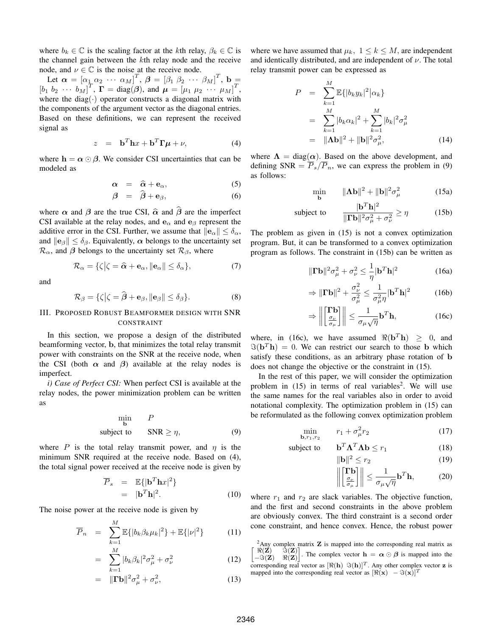where  $b_k \in \mathbb{C}$  is the scaling factor at the kth relay,  $\beta_k \in \mathbb{C}$  is the channel gain between the kth relay node and the receive node, and  $\nu \in \mathbb{C}$  is the noise at the receive node.

Let  $\boldsymbol{\alpha} = [\alpha_1 \ \alpha_2 \ \cdots \ \alpha_M]^T$ ,  $\boldsymbol{\beta} = [\beta_1 \ \beta_2 \ \cdots \ \beta_M]^T$ ,  $\mathbf{b} =$  $[b_1 \ b_2 \ \cdots \ b_M]^T$ ,  $\Gamma = \text{diag}(\boldsymbol{\beta})$ , and  $\mu = [\mu_1 \ \mu_2 \ \cdots \ \mu_M]^T$ , where the diag( $\cdot$ ) operator constructs a diagonal matrix with the components of the argument vector as the diagonal entries. Based on these definitions, we can represent the received signal as

$$
z = \mathbf{b}^T \mathbf{h} x + \mathbf{b}^T \mathbf{\Gamma} \boldsymbol{\mu} + \nu,
$$
 (4)

where  $h = \alpha \odot \beta$ . We consider CSI uncertainties that can be modeled as

$$
\alpha = \hat{\alpha} + e_{\alpha}, \qquad (5)
$$

$$
\beta = \hat{\beta} + \mathbf{e}_{\beta}, \tag{6}
$$

where  $\alpha$  and  $\beta$  are the true CSI,  $\hat{\alpha}$  and  $\hat{\beta}$  are the imperfect CSI available at the relay nodes, and  $\mathbf{e}_{\alpha}$  and  $\mathbf{e}_{\beta}$  represent the additive error in the CSI. Further, we assume that  $||e_\alpha|| \leq \delta_\alpha$ , and  $\|\mathbf{e}_{\beta}\| \leq \delta_{\beta}$ . Equivalently,  $\alpha$  belongs to the uncertainty set  $\mathcal{R}_{\alpha}$ , and  $\beta$  belongs to the uncertainty set  $\mathcal{R}_{\beta}$ , where

$$
\mathcal{R}_{\alpha} = \{\zeta | \zeta = \widehat{\alpha} + \mathbf{e}_{\alpha}, \|\mathbf{e}_{\alpha}\| \le \delta_{\alpha}\},\tag{7}
$$

and

$$
\mathcal{R}_{\beta} = \{\zeta | \zeta = \widehat{\boldsymbol{\beta}} + \mathbf{e}_{\beta}, \|\mathbf{e}_{\beta}\| \le \delta_{\beta}\}.
$$
 (8)

# III. PROPOSED ROBUST BEAMFORMER DESIGN WITH SNR CONSTRAINT

In this section, we propose a design of the distributed beamforming vector, **b**, that minimizes the total relay transmit power with constraints on the SNR at the receive node, when the CSI (both  $\alpha$  and  $\beta$ ) available at the relay nodes is imperfect.

*i) Case of Perfect CSI:* When perfect CSI is available at the relay nodes, the power minimization problem can be written as

$$
\min_{\mathbf{b}} P
$$
  
subject to  $SNR \ge \eta$ , (9)

where P is the total relay transmit power, and  $\eta$  is the minimum SNR required at the receive node. Based on (4), the total signal power received at the receive node is given by

$$
\overline{P}_s = \mathbb{E}\{|\mathbf{b}^T \mathbf{h} x|^2\}
$$
  
=  $|\mathbf{b}^T \mathbf{h}|^2$ . (10)

The noise power at the receive node is given by

$$
\overline{P}_n = \sum_{k=1}^{M} \mathbb{E}\{|b_k \beta_k \mu_k|^2\} + \mathbb{E}\{|{\nu}|^2\}
$$
 (11)

$$
= \sum_{k=1}^{M} |b_k \beta_k|^2 \sigma_{\mu}^2 + \sigma_{\nu}^2 \tag{12}
$$

$$
= \|\Gamma \mathbf{b}\|^2 \sigma_\mu^2 + \sigma_\nu^2,\tag{13}
$$

where we have assumed that  $\mu_k$ ,  $1 \leq k \leq M$ , are independent and identically distributed, and are independent of  $\nu$ . The total relay transmit power can be expressed as

$$
P = \sum_{k=1}^{M} \mathbb{E}\{|b_k y_k|^2 | \alpha_k\}
$$
  
= 
$$
\sum_{k=1}^{M} |b_k \alpha_k|^2 + \sum_{k=1}^{M} |b_k|^2 \sigma_{\mu}^2
$$
  
= 
$$
\|\mathbf{\Lambda}\mathbf{b}\|^2 + \|\mathbf{b}\|^2 \sigma_{\mu}^2,
$$
 (14)

where  $\Lambda = \text{diag}(\alpha)$ . Based on the above development, and defining SNR  $= \overline{P}_s / \overline{P}_n$ , we can express the problem in (9) as follows:

$$
\min_{\mathbf{b}} \qquad \|\mathbf{\Lambda}\mathbf{b}\|^2 + \|\mathbf{b}\|^2 \sigma_\mu^2 \tag{15a}
$$

subject to 
$$
\frac{|\mathbf{b}^T \mathbf{h}|^2}{\|\mathbf{\Gamma} \mathbf{b}\|^2 \sigma_\mu^2 + \sigma_\nu^2} \ge \eta
$$
 (15b)

The problem as given in (15) is not a convex optimization program. But, it can be transformed to a convex optimization program as follows. The constraint in (15b) can be written as

$$
\|\mathbf{\Gamma}\mathbf{b}\|^2 \sigma_\mu^2 + \sigma_\nu^2 \le \frac{1}{\eta} |\mathbf{b}^T \mathbf{h}|^2 \tag{16a}
$$

$$
\Rightarrow \|\mathbf{\Gamma}\mathbf{b}\|^2 + \frac{\sigma_\nu^2}{\sigma_\mu^2} \le \frac{1}{\sigma_\mu^2 \eta} |\mathbf{b}^T \mathbf{h}|^2 \tag{16b}
$$

$$
\Rightarrow \left\| \begin{bmatrix} \mathbf{\Gamma} \mathbf{b} \\ \frac{\sigma_{\nu}}{\sigma_{\mu}} \end{bmatrix} \right\| \le \frac{1}{\sigma_{\mu} \sqrt{\eta}} \mathbf{b}^{T} \mathbf{h},\tag{16c}
$$

where, in (16c), we have assumed  $\Re(\mathbf{b}^T \mathbf{h}) > 0$ , and  $\Im(\mathbf{b}^T \mathbf{h})=0$ . We can restrict our search to those **b** which satisfy these conditions, as an arbitrary phase rotation of **b** does not change the objective or the constraint in (15).

⇒

In the rest of this paper, we will consider the optimization problem in  $(15)$  in terms of real variables<sup>2</sup>. We will use the same names for the real variables also in order to avoid notational complexity. The optimization problem in (15) can be reformulated as the following convex optimization problem

$$
\min_{\mathbf{b}, r_1, r_2} \qquad r_1 + \sigma_\mu^2 r_2 \tag{17}
$$

subject to 
$$
\mathbf{b}^T \mathbf{\Lambda}^T \mathbf{\Lambda} \mathbf{b} \leq r_1
$$
 (18)

$$
\|\mathbf{b}\|^2 \le r_2 \tag{19}
$$

$$
\left\| \begin{bmatrix} \Gamma \mathbf{b} \\ \frac{\sigma_{\nu}}{\sigma_{\mu}} \end{bmatrix} \right\| \le \frac{1}{\sigma_{\mu} \sqrt{\eta}} \mathbf{b}^{T} \mathbf{h},\tag{20}
$$

where  $r_1$  and  $r_2$  are slack variables. The objective function, and the first and second constraints in the above problem are obviously convex. The third constraint is a second order cone constraint, and hence convex. Hence, the robust power

<sup>2</sup>Any complex matrix **Z** is mapped into the corresponding real matrix as  $\Re(Z) = \Im(Z)$  $\Re(\mathbf{Z})$   $\Im(\mathbf{Z})$ −(**Z**) (**Z**) . The complex vector  $\mathbf{h} = \alpha \odot \beta$  is mapped into the corresponding real vector as  $[\Re(\mathbf{h}) \Im(\mathbf{h})]^T$ . Any other complex vector **z** is mapped into the corresponding real vector as  $[\Re(\mathbf{x}) - \Im(\mathbf{x})]^T$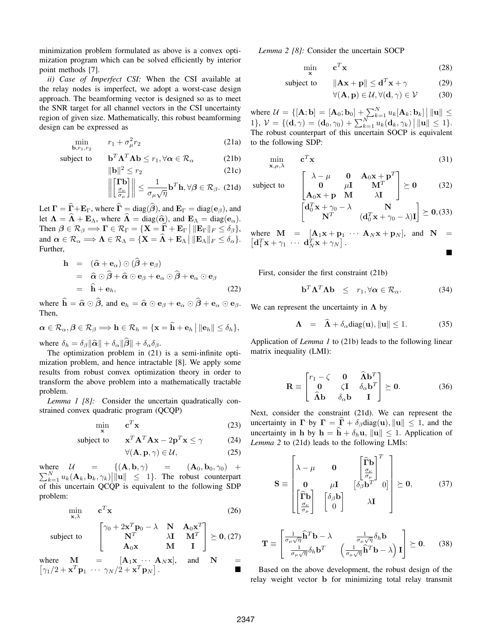minimization problem formulated as above is a convex optimization program which can be solved efficiently by interior point methods [7].

*ii) Case of Imperfect CSI:* When the CSI available at the relay nodes is imperfect, we adopt a worst-case design approach. The beamforming vector is designed so as to meet the SNR target for all channel vectors in the CSI uncertainty region of given size. Mathematically, this robust beamforming design can be expressed as

$$
\min_{\mathbf{b}, r_1, r_2} \qquad r_1 + \sigma_\mu^2 r_2 \tag{21a}
$$

subject to **b**<sup>T</sup> $\Lambda$ <sup>T</sup> $\Lambda$ **b**  $\leq r_1, \forall \alpha \in \mathcal{R}_\alpha$  (21b)

$$
\|\mathbf{b}\|^2 \le r_2 \tag{21c}
$$

$$
\left\| \begin{bmatrix} \Gamma \mathbf{b} \\ \frac{\sigma_{\nu}}{\sigma_{\mu}} \end{bmatrix} \right\| \leq \frac{1}{\sigma_{\mu} \sqrt{\eta}} \mathbf{b}^{T} \mathbf{h}, \forall \beta \in \mathcal{R}_{\beta}.
$$
 (21d)

Let  $\mathbf{\Gamma} = \hat{\mathbf{\Gamma}} + \mathbf{E}_{\Gamma}$ , where  $\hat{\mathbf{\Gamma}} = \text{diag}(\hat{\boldsymbol{\beta}})$ , and  $\mathbf{E}_{\Gamma} = \text{diag}(\mathbf{e}_{\beta})$ , and let  $\Lambda = \hat{\Lambda} + \mathbf{E}_{\Lambda}$ , where  $\hat{\Lambda} = \text{diag}(\hat{\alpha})$ , and  $\mathbf{E}_{\Lambda} = \text{diag}(\mathbf{e}_{\alpha})$ . Then  $\beta \in \mathcal{R}_{\beta} \Longrightarrow \Gamma \in \mathcal{R}_{\Gamma} = \{ \mathbf{X} = \widehat{\Gamma} + \mathbf{E}_{\Gamma} \mid ||\mathbf{E}_{\Gamma}||_F \le \delta_{\beta} \},\$ and  $\alpha \in \mathcal{R}_{\alpha} \Longrightarrow \mathbf{\Lambda} \in \mathcal{R}_{\Lambda} = \{ \mathbf{X} = \mathbf{\widehat{\Lambda}} + \mathbf{E}_{\Lambda} \mid ||\mathbf{E}_{\Lambda}||_F \le \delta_{\alpha} \}.$ Further,

$$
\mathbf{h} = (\hat{\alpha} + \mathbf{e}_{\alpha}) \odot (\hat{\beta} + \mathbf{e}_{\beta}) \n= \hat{\alpha} \odot \hat{\beta} + \hat{\alpha} \odot \mathbf{e}_{\beta} + \mathbf{e}_{\alpha} \odot \hat{\beta} + \mathbf{e}_{\alpha} \odot \mathbf{e}_{\beta} \n= \hat{\mathbf{h}} + \mathbf{e}_{h},
$$
\n(22)

where  $\hat{\mathbf{h}} = \hat{\boldsymbol{\alpha}} \odot \hat{\boldsymbol{\beta}}$ , and  $\mathbf{e}_h = \hat{\boldsymbol{\alpha}} \odot \mathbf{e}_{\beta} + \mathbf{e}_{\alpha} \odot \hat{\boldsymbol{\beta}} + \mathbf{e}_{\alpha} \odot \mathbf{e}_{\beta}$ . Then,

$$
\alpha \in \mathcal{R}_{\alpha}, \beta \in \mathcal{R}_{\beta} \Longrightarrow \mathbf{h} \in \mathcal{R}_{h} = \{\mathbf{x} = \mathbf{\widehat{h}} + \mathbf{e}_{h} \, \big| \, \|\mathbf{e}_{h}\| \leq \delta_{h}\},
$$

where  $\delta_h = \delta_\beta \|\hat{\boldsymbol{\alpha}}\| + \delta_\alpha \|\boldsymbol{\beta}\| + \delta_\alpha \delta_\beta$ .

The optimization problem in (21) is a semi-infinite optimization problem, and hence intractable [8]. We apply some results from robust convex optimization theory in order to transform the above problem into a mathematically tractable problem.

*Lemma 1 [8]:* Consider the uncertain quadratically constrained convex quadratic program (QCQP)

$$
\min_{\mathbf{x}} \qquad \mathbf{c}^T \mathbf{x} \tag{23}
$$

subject to 
$$
\mathbf{x}^T \mathbf{A}^T \mathbf{A} \mathbf{x} - 2\mathbf{p}^T \mathbf{x} \le \gamma
$$
 (24)

$$
\forall (\mathbf{A}, \mathbf{p}, \gamma) \in \mathcal{U}, \tag{25}
$$

 $\sum_{k=1}^{N} u_k(\mathbf{A}_k, \mathbf{b}_k, \gamma_k)$  |  $\|\mathbf{u}\| \leq 1$  }. The robust counterpart where  $U = \{(A, b, \gamma) = (A_0, b_0, \gamma_0) +$ of this uncertain QCQP is equivalent to the following SDP problem:

$$
\min_{\mathbf{x}, \lambda} \qquad \mathbf{c}^T \mathbf{x} \tag{26}
$$

subject to 
$$
\begin{bmatrix} \gamma_0 + 2\mathbf{x}^T \mathbf{p}_0 - \lambda & \mathbf{N} & \mathbf{A}_0 \mathbf{x}^T \\ \mathbf{N}^T & \lambda \mathbf{I} & \mathbf{M}^T \\ \mathbf{A}_0 \mathbf{x} & \mathbf{M} & \mathbf{I} \end{bmatrix} \succeq \mathbf{0}, (27)
$$

where  $\mathbf{M} = [\mathbf{A}_1 \mathbf{x} \cdots \mathbf{A}_N \mathbf{x}]$ , and  $\mathbf{N} = [\alpha_1/2 + \mathbf{x}^T \mathbf{n}_1 \cdots \alpha_N/2 + \mathbf{x}^T \mathbf{n}_N]$  $\gamma_1/2 + \mathbf{x}^T \mathbf{p}_1 \cdots \gamma_N/\overline{2} + \mathbf{x}^T \mathbf{p}_N$ . - *Lemma 2 [8]:* Consider the uncertain SOCP

$$
\min_{\mathbf{x}} \qquad \mathbf{c}^T \mathbf{x} \tag{28}
$$

subject to 
$$
\|\mathbf{A}\mathbf{x} + \mathbf{p}\| \leq \mathbf{d}^T \mathbf{x} + \gamma
$$
 (29)

$$
\forall (\mathbf{A}, \mathbf{p}) \in \mathcal{U}, \forall (\mathbf{d}, \gamma) \in \mathcal{V} \tag{30}
$$

where  $\mathcal{U} = \{ [\mathbf{A}; \mathbf{b}] = [\mathbf{A}_0; \mathbf{b}_0] + \sum_{k=1}^{N} u_k [\mathbf{A}_k; \mathbf{b}_k] \mid ||\mathbf{u}|| \leq \epsilon \}$ 1},  $V = \{(\mathbf{d}, \gamma) = (\mathbf{d}_0, \gamma_0) + \sum_{k=1}^N u_k(\mathbf{d}_k, \gamma_k) \mid ||\mathbf{u}|| \leq 1\}.$ The robust counterpart of this uncertain SOCP is equivalent to the following SDP:

$$
\min_{\mathbf{x}, \mu, \lambda} \qquad \mathbf{c}^T \mathbf{x} \tag{31}
$$

subject to  
\n
$$
\begin{bmatrix}\n\lambda - \mu & \mathbf{0} & \mathbf{A}_0 \mathbf{x} + \mathbf{p}^T \\
\mathbf{0} & \mu \mathbf{I} & \mathbf{M}^T \\
\mathbf{A}_0 \mathbf{x} + \mathbf{p} & \mathbf{M} & \lambda \mathbf{I}\n\end{bmatrix} \succeq \mathbf{0}
$$
\n(32)  
\n
$$
\begin{bmatrix}\n\mathbf{d}_0^T \mathbf{x} + \gamma_0 - \lambda & \mathbf{N} \\
\mathbf{N}^T & (\mathbf{d}_0^T \mathbf{x} + \gamma_0 - \lambda) \mathbf{I}\n\end{bmatrix} \succeq \mathbf{0},
$$
\n(33)

where  $\mathbf{M} = [\mathbf{A}_1 \mathbf{x} + \mathbf{p}_1 \cdots \mathbf{A}_N \mathbf{x} + \mathbf{p}_N],$  and  $\mathbf{N} = [\mathbf{d}_1^T \mathbf{x} + \gamma_1 \cdots \mathbf{d}_N^T \mathbf{x} + \gamma_N].$ -

First, consider the first constraint (21b)

$$
\mathbf{b}^T \mathbf{\Lambda}^T \mathbf{\Lambda} \mathbf{b} \leq r_1, \forall \alpha \in \mathcal{R}_\alpha. \tag{34}
$$

We can represent the uncertainty in **Λ** by

$$
\Lambda = \widehat{\Lambda} + \delta_{\alpha} \text{diag}(\mathbf{u}), \|\mathbf{u}\| \le 1. \tag{35}
$$

Application of *Lemma 1* to (21b) leads to the following linear matrix inequality (LMI):

$$
\mathbf{R} \equiv \begin{bmatrix} r_1 - \zeta & \mathbf{0} & \mathbf{\hat{\Lambda}} \mathbf{b}^T \\ \mathbf{0} & \zeta \mathbf{I} & \delta_\alpha \mathbf{b}^T \\ \mathbf{\hat{\Lambda}} \mathbf{b} & \delta_\alpha \mathbf{b} & \mathbf{I} \end{bmatrix} \succeq \mathbf{0}.
$$
 (36)

Next, consider the constraint (21d). We can represent the uncertainty in  $\Gamma$  by  $\Gamma = \Gamma + \delta_{\beta} \text{diag}(\mathbf{u}), ||\mathbf{u}|| \leq 1$ , and the uncertainty in **h** by  $h = \hat{h} + \delta_h u$ ,  $\|\mathbf{u}\| \leq 1$ . Application of *Lemma 2* to (21d) leads to the following LMIs:

$$
\mathbf{S} \equiv \begin{bmatrix} \lambda - \mu & \mathbf{0} & \begin{bmatrix} \widehat{\mathbf{\Gamma}} \mathbf{b} \\ \frac{\sigma_{\nu}}{\sigma_{\mu}} \end{bmatrix}^T \\ \mathbf{0} & \mu \mathbf{I} & \begin{bmatrix} \delta_{\beta} \mathbf{b}^T \\ \mathbf{0} & \lambda \mathbf{I} \end{bmatrix} \geq \mathbf{0}, \qquad (37)
$$

$$
\mathbf{T} \equiv \begin{bmatrix} \frac{1}{\sigma_{\mu}\sqrt{\eta}} \mathbf{\hat{h}}^T \mathbf{b} - \lambda & \frac{1}{\sigma_{\mu}\sqrt{\eta}} \delta_h \mathbf{b} \\ \frac{1}{\sigma_{\mu}\sqrt{\eta}} \delta_h \mathbf{b}^T & \left( \frac{1}{\sigma_{\mu}\sqrt{\eta}} \mathbf{\hat{h}}^T \mathbf{b} - \lambda \right) \mathbf{I} \end{bmatrix} \succeq \mathbf{0}.
$$
 (38)

Based on the above development, the robust design of the relay weight vector **b** for minimizing total relay transmit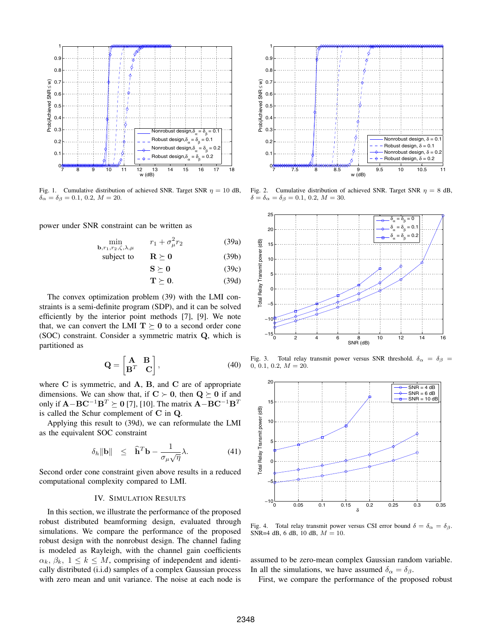

Fig. 1. Cumulative distribution of achieved SNR. Target SNR  $\eta = 10$  dB,  $\delta_{\alpha} = \delta_{\beta} = 0.1, 0.2, M = 20.$ 

power under SNR constraint can be written as

$$
\min_{\mathbf{b}, r_1, r_2, \zeta, \lambda, \mu} \qquad r_1 + \sigma_\mu^2 r_2 \tag{39a}
$$

subject to 
$$
\mathbf{R} \succeq \mathbf{0}
$$
 (39b)

$$
S \succeq 0 \tag{39c}
$$

 $\mathbf{T} \succeq \mathbf{0}$ . (39d)

The convex optimization problem (39) with the LMI constraints is a semi-definite program (SDP), and it can be solved efficiently by the interior point methods [7], [9]. We note that, we can convert the LMI  $T \succeq 0$  to a second order cone (SOC) constraint. Consider a symmetric matrix **Q**, which is partitioned as

$$
\mathbf{Q} = \begin{bmatrix} \mathbf{A} & \mathbf{B} \\ \mathbf{B}^T & \mathbf{C} \end{bmatrix},\tag{40}
$$

where **C** is symmetric, and **A**, **B**, and **C** are of appropriate dimensions. We can show that, if  $C \succ 0$ , then  $Q \succeq 0$  if and only if  $\mathbf{A} - \mathbf{B} \mathbf{C}^{-1} \mathbf{B}^T \succeq \mathbf{0}$  [7], [10]. The matrix  $\mathbf{A} - \mathbf{B} \mathbf{C}^{-1} \mathbf{B}^T$ is called the Schur complement of **C** in **Q**.

Applying this result to (39d), we can reformulate the LMI as the equivalent SOC constraint

$$
\delta_h \|\mathbf{b}\| \leq \hat{\mathbf{h}}^T \mathbf{b} - \frac{1}{\sigma_\mu \sqrt{\eta}} \lambda. \tag{41}
$$

Second order cone constraint given above results in a reduced computational complexity compared to LMI.

## IV. SIMULATION RESULTS

In this section, we illustrate the performance of the proposed robust distributed beamforming design, evaluated through simulations. We compare the performance of the proposed robust design with the nonrobust design. The channel fading is modeled as Rayleigh, with the channel gain coefficients  $\alpha_k, \beta_k, 1 \leq k \leq M$ , comprising of independent and identically distributed (i.i.d) samples of a complex Gaussian process with zero mean and unit variance. The noise at each node is



Fig. 2. Cumulative distribution of achieved SNR. Target SNR  $\eta = 8$  dB,  $\delta = \delta_{\alpha} = \delta_{\beta} = 0.1, 0.2, M = 30.$ 



Fig. 3. Total relay transmit power versus SNR threshold.  $\delta_{\alpha} = \delta_{\beta} =$  $0, 0.1, 0.2, M = 20.$ 



Fig. 4. Total relay transmit power versus CSI error bound  $\delta = \delta_{\alpha} = \delta_{\beta}$ . SNR=4 dB, 6 dB, 10 dB,  $M = 10$ .

assumed to be zero-mean complex Gaussian random variable. In all the simulations, we have assumed  $\delta_{\alpha} = \delta_{\beta}$ .

First, we compare the performance of the proposed robust